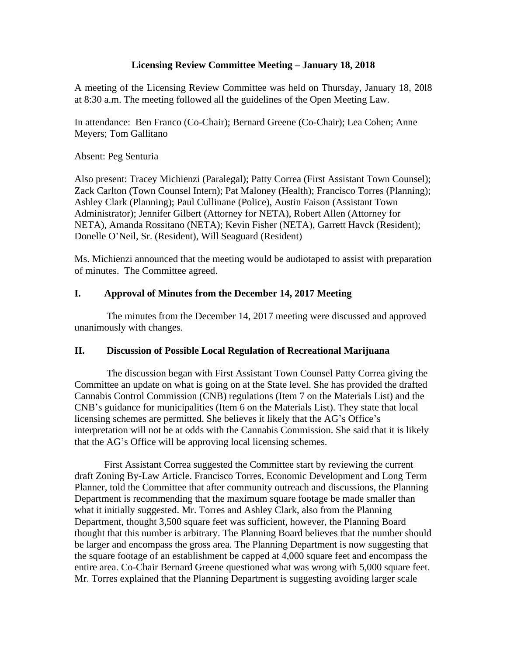### **Licensing Review Committee Meeting – January 18, 2018**

A meeting of the Licensing Review Committee was held on Thursday, January 18, 20l8 at 8:30 a.m. The meeting followed all the guidelines of the Open Meeting Law.

In attendance: Ben Franco (Co-Chair); Bernard Greene (Co-Chair); Lea Cohen; Anne Meyers; Tom Gallitano

#### Absent: Peg Senturia

Also present: Tracey Michienzi (Paralegal); Patty Correa (First Assistant Town Counsel); Zack Carlton (Town Counsel Intern); Pat Maloney (Health); Francisco Torres (Planning); Ashley Clark (Planning); Paul Cullinane (Police), Austin Faison (Assistant Town Administrator); Jennifer Gilbert (Attorney for NETA), Robert Allen (Attorney for NETA), Amanda Rossitano (NETA); Kevin Fisher (NETA), Garrett Havck (Resident); Donelle O'Neil, Sr. (Resident), Will Seaguard (Resident)

Ms. Michienzi announced that the meeting would be audiotaped to assist with preparation of minutes. The Committee agreed.

### **I. Approval of Minutes from the December 14, 2017 Meeting**

The minutes from the December 14, 2017 meeting were discussed and approved unanimously with changes.

### **II. Discussion of Possible Local Regulation of Recreational Marijuana**

The discussion began with First Assistant Town Counsel Patty Correa giving the Committee an update on what is going on at the State level. She has provided the drafted Cannabis Control Commission (CNB) regulations (Item 7 on the Materials List) and the CNB's guidance for municipalities (Item 6 on the Materials List). They state that local licensing schemes are permitted. She believes it likely that the AG's Office's interpretation will not be at odds with the Cannabis Commission. She said that it is likely that the AG's Office will be approving local licensing schemes.

First Assistant Correa suggested the Committee start by reviewing the current draft Zoning By-Law Article. Francisco Torres, Economic Development and Long Term Planner, told the Committee that after community outreach and discussions, the Planning Department is recommending that the maximum square footage be made smaller than what it initially suggested. Mr. Torres and Ashley Clark, also from the Planning Department, thought 3,500 square feet was sufficient, however, the Planning Board thought that this number is arbitrary. The Planning Board believes that the number should be larger and encompass the gross area. The Planning Department is now suggesting that the square footage of an establishment be capped at  $\overline{4,000}$  square feet and encompass the entire area. Co-Chair Bernard Greene questioned what was wrong with 5,000 square feet. Mr. Torres explained that the Planning Department is suggesting avoiding larger scale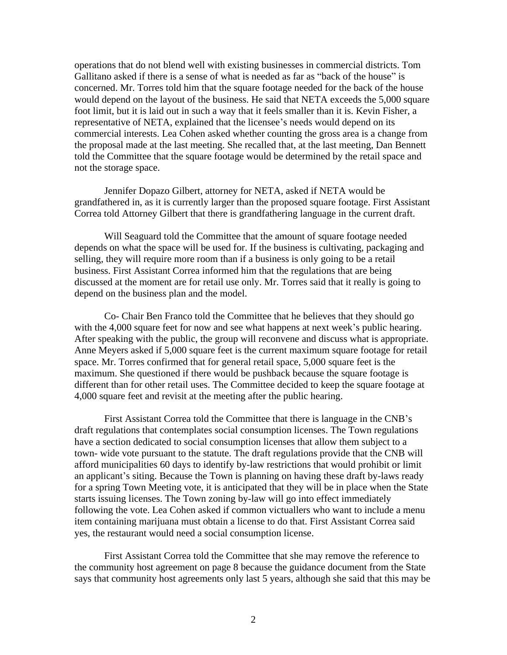operations that do not blend well with existing businesses in commercial districts. Tom Gallitano asked if there is a sense of what is needed as far as "back of the house" is concerned. Mr. Torres told him that the square footage needed for the back of the house would depend on the layout of the business. He said that NETA exceeds the 5,000 square foot limit, but it is laid out in such a way that it feels smaller than it is. Kevin Fisher, a representative of NETA, explained that the licensee's needs would depend on its commercial interests. Lea Cohen asked whether counting the gross area is a change from the proposal made at the last meeting. She recalled that, at the last meeting, Dan Bennett told the Committee that the square footage would be determined by the retail space and not the storage space.

Jennifer Dopazo Gilbert, attorney for NETA, asked if NETA would be grandfathered in, as it is currently larger than the proposed square footage. First Assistant Correa told Attorney Gilbert that there is grandfathering language in the current draft.

Will Seaguard told the Committee that the amount of square footage needed depends on what the space will be used for. If the business is cultivating, packaging and selling, they will require more room than if a business is only going to be a retail business. First Assistant Correa informed him that the regulations that are being discussed at the moment are for retail use only. Mr. Torres said that it really is going to depend on the business plan and the model.

Co- Chair Ben Franco told the Committee that he believes that they should go with the 4,000 square feet for now and see what happens at next week's public hearing. After speaking with the public, the group will reconvene and discuss what is appropriate. Anne Meyers asked if 5,000 square feet is the current maximum square footage for retail space. Mr. Torres confirmed that for general retail space, 5,000 square feet is the maximum. She questioned if there would be pushback because the square footage is different than for other retail uses. The Committee decided to keep the square footage at 4,000 square feet and revisit at the meeting after the public hearing.

First Assistant Correa told the Committee that there is language in the CNB's draft regulations that contemplates social consumption licenses. The Town regulations have a section dedicated to social consumption licenses that allow them subject to a town- wide vote pursuant to the statute. The draft regulations provide that the CNB will afford municipalities 60 days to identify by-law restrictions that would prohibit or limit an applicant's siting. Because the Town is planning on having these draft by-laws ready for a spring Town Meeting vote, it is anticipated that they will be in place when the State starts issuing licenses. The Town zoning by-law will go into effect immediately following the vote. Lea Cohen asked if common victuallers who want to include a menu item containing marijuana must obtain a license to do that. First Assistant Correa said yes, the restaurant would need a social consumption license.

First Assistant Correa told the Committee that she may remove the reference to the community host agreement on page 8 because the guidance document from the State says that community host agreements only last 5 years, although she said that this may be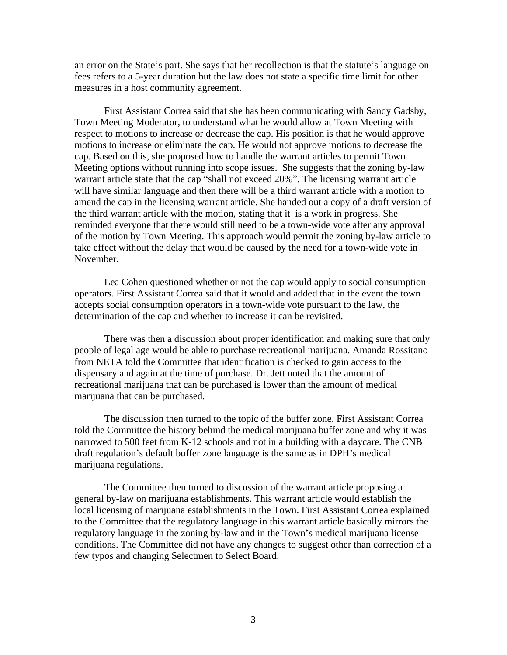an error on the State's part. She says that her recollection is that the statute's language on fees refers to a 5-year duration but the law does not state a specific time limit for other measures in a host community agreement.

First Assistant Correa said that she has been communicating with Sandy Gadsby, Town Meeting Moderator, to understand what he would allow at Town Meeting with respect to motions to increase or decrease the cap. His position is that he would approve motions to increase or eliminate the cap. He would not approve motions to decrease the cap. Based on this, she proposed how to handle the warrant articles to permit Town Meeting options without running into scope issues. She suggests that the zoning by-law warrant article state that the cap "shall not exceed 20%". The licensing warrant article will have similar language and then there will be a third warrant article with a motion to amend the cap in the licensing warrant article. She handed out a copy of a draft version of the third warrant article with the motion, stating that it is a work in progress. She reminded everyone that there would still need to be a town-wide vote after any approval of the motion by Town Meeting. This approach would permit the zoning by-law article to take effect without the delay that would be caused by the need for a town-wide vote in November.

Lea Cohen questioned whether or not the cap would apply to social consumption operators. First Assistant Correa said that it would and added that in the event the town accepts social consumption operators in a town-wide vote pursuant to the law, the determination of the cap and whether to increase it can be revisited.

There was then a discussion about proper identification and making sure that only people of legal age would be able to purchase recreational marijuana. Amanda Rossitano from NETA told the Committee that identification is checked to gain access to the dispensary and again at the time of purchase. Dr. Jett noted that the amount of recreational marijuana that can be purchased is lower than the amount of medical marijuana that can be purchased.

The discussion then turned to the topic of the buffer zone. First Assistant Correa told the Committee the history behind the medical marijuana buffer zone and why it was narrowed to 500 feet from K-12 schools and not in a building with a daycare. The CNB draft regulation's default buffer zone language is the same as in DPH's medical marijuana regulations.

The Committee then turned to discussion of the warrant article proposing a general by-law on marijuana establishments. This warrant article would establish the local licensing of marijuana establishments in the Town. First Assistant Correa explained to the Committee that the regulatory language in this warrant article basically mirrors the regulatory language in the zoning by-law and in the Town's medical marijuana license conditions. The Committee did not have any changes to suggest other than correction of a few typos and changing Selectmen to Select Board.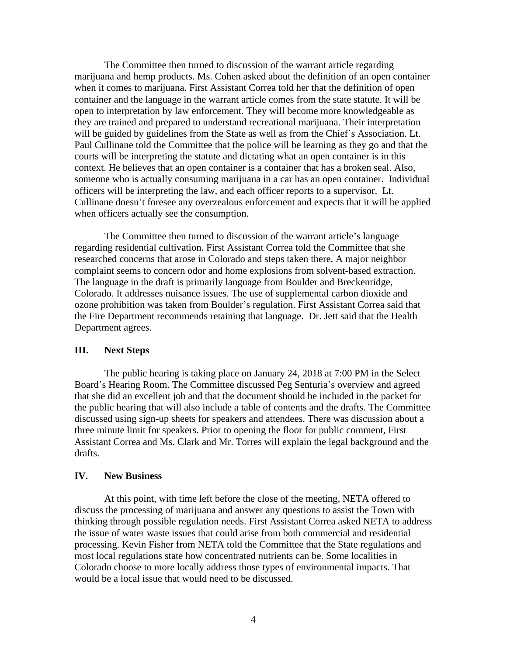The Committee then turned to discussion of the warrant article regarding marijuana and hemp products. Ms. Cohen asked about the definition of an open container when it comes to marijuana. First Assistant Correa told her that the definition of open container and the language in the warrant article comes from the state statute. It will be open to interpretation by law enforcement. They will become more knowledgeable as they are trained and prepared to understand recreational marijuana. Their interpretation will be guided by guidelines from the State as well as from the Chief's Association. Lt. Paul Cullinane told the Committee that the police will be learning as they go and that the courts will be interpreting the statute and dictating what an open container is in this context. He believes that an open container is a container that has a broken seal. Also, someone who is actually consuming marijuana in a car has an open container. Individual officers will be interpreting the law, and each officer reports to a supervisor. Lt. Cullinane doesn't foresee any overzealous enforcement and expects that it will be applied when officers actually see the consumption.

The Committee then turned to discussion of the warrant article's language regarding residential cultivation. First Assistant Correa told the Committee that she researched concerns that arose in Colorado and steps taken there. A major neighbor complaint seems to concern odor and home explosions from solvent-based extraction. The language in the draft is primarily language from Boulder and Breckenridge, Colorado. It addresses nuisance issues. The use of supplemental carbon dioxide and ozone prohibition was taken from Boulder's regulation. First Assistant Correa said that the Fire Department recommends retaining that language. Dr. Jett said that the Health Department agrees.

### **III. Next Steps**

The public hearing is taking place on January 24, 2018 at 7:00 PM in the Select Board's Hearing Room. The Committee discussed Peg Senturia's overview and agreed that she did an excellent job and that the document should be included in the packet for the public hearing that will also include a table of contents and the drafts. The Committee discussed using sign-up sheets for speakers and attendees. There was discussion about a three minute limit for speakers. Prior to opening the floor for public comment, First Assistant Correa and Ms. Clark and Mr. Torres will explain the legal background and the drafts.

#### **IV. New Business**

At this point, with time left before the close of the meeting, NETA offered to discuss the processing of marijuana and answer any questions to assist the Town with thinking through possible regulation needs. First Assistant Correa asked NETA to address the issue of water waste issues that could arise from both commercial and residential processing. Kevin Fisher from NETA told the Committee that the State regulations and most local regulations state how concentrated nutrients can be. Some localities in Colorado choose to more locally address those types of environmental impacts. That would be a local issue that would need to be discussed.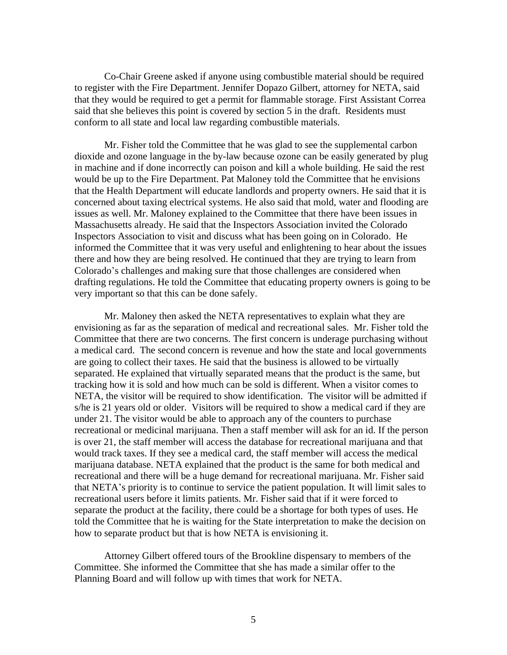Co-Chair Greene asked if anyone using combustible material should be required to register with the Fire Department. Jennifer Dopazo Gilbert, attorney for NETA, said that they would be required to get a permit for flammable storage. First Assistant Correa said that she believes this point is covered by section 5 in the draft. Residents must conform to all state and local law regarding combustible materials.

Mr. Fisher told the Committee that he was glad to see the supplemental carbon dioxide and ozone language in the by-law because ozone can be easily generated by plug in machine and if done incorrectly can poison and kill a whole building. He said the rest would be up to the Fire Department. Pat Maloney told the Committee that he envisions that the Health Department will educate landlords and property owners. He said that it is concerned about taxing electrical systems. He also said that mold, water and flooding are issues as well. Mr. Maloney explained to the Committee that there have been issues in Massachusetts already. He said that the Inspectors Association invited the Colorado Inspectors Association to visit and discuss what has been going on in Colorado. He informed the Committee that it was very useful and enlightening to hear about the issues there and how they are being resolved. He continued that they are trying to learn from Colorado's challenges and making sure that those challenges are considered when drafting regulations. He told the Committee that educating property owners is going to be very important so that this can be done safely.

Mr. Maloney then asked the NETA representatives to explain what they are envisioning as far as the separation of medical and recreational sales. Mr. Fisher told the Committee that there are two concerns. The first concern is underage purchasing without a medical card. The second concern is revenue and how the state and local governments are going to collect their taxes. He said that the business is allowed to be virtually separated. He explained that virtually separated means that the product is the same, but tracking how it is sold and how much can be sold is different. When a visitor comes to NETA, the visitor will be required to show identification. The visitor will be admitted if s/he is 21 years old or older. Visitors will be required to show a medical card if they are under 21. The visitor would be able to approach any of the counters to purchase recreational or medicinal marijuana. Then a staff member will ask for an id. If the person is over 21, the staff member will access the database for recreational marijuana and that would track taxes. If they see a medical card, the staff member will access the medical marijuana database. NETA explained that the product is the same for both medical and recreational and there will be a huge demand for recreational marijuana. Mr. Fisher said that NETA's priority is to continue to service the patient population. It will limit sales to recreational users before it limits patients. Mr. Fisher said that if it were forced to separate the product at the facility, there could be a shortage for both types of uses. He told the Committee that he is waiting for the State interpretation to make the decision on how to separate product but that is how NETA is envisioning it.

Attorney Gilbert offered tours of the Brookline dispensary to members of the Committee. She informed the Committee that she has made a similar offer to the Planning Board and will follow up with times that work for NETA.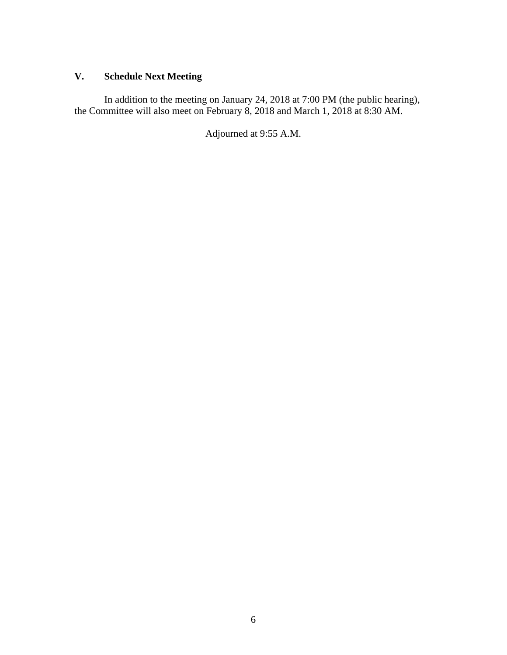# **V. Schedule Next Meeting**

In addition to the meeting on January 24, 2018 at 7:00 PM (the public hearing), the Committee will also meet on February 8, 2018 and March 1, 2018 at 8:30 AM.

Adjourned at 9:55 A.M.